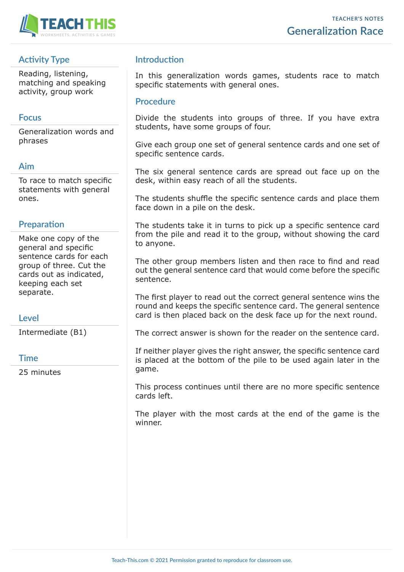

# **Activity Type**

Reading, listening, matching and speaking activity, group work

### **Focus**

Generalization words and phrases

## **Aim**

To race to match specific statements with general ones.

## **Preparation**

Make one copy of the general and specific sentence cards for each group of three. Cut the cards out as indicated, keeping each set separate.

## **Level**

Intermediate (B1)

#### **Time**

25 minutes

# **Introduction**

In this generalization words games, students race to match specific statements with general ones.

#### **Procedure**

Divide the students into groups of three. If you have extra students, have some groups of four.

Give each group one set of general sentence cards and one set of specific sentence cards.

The six general sentence cards are spread out face up on the desk, within easy reach of all the students.

The students shuffle the specific sentence cards and place them face down in a pile on the desk.

The students take it in turns to pick up a specific sentence card from the pile and read it to the group, without showing the card to anyone.

The other group members listen and then race to find and read out the general sentence card that would come before the specific sentence.

The first player to read out the correct general sentence wins the round and keeps the specific sentence card. The general sentence card is then placed back on the desk face up for the next round.

The correct answer is shown for the reader on the sentence card.

If neither player gives the right answer, the specific sentence card is placed at the bottom of the pile to be used again later in the game.

This process continues until there are no more specific sentence cards left.

The player with the most cards at the end of the game is the winner.